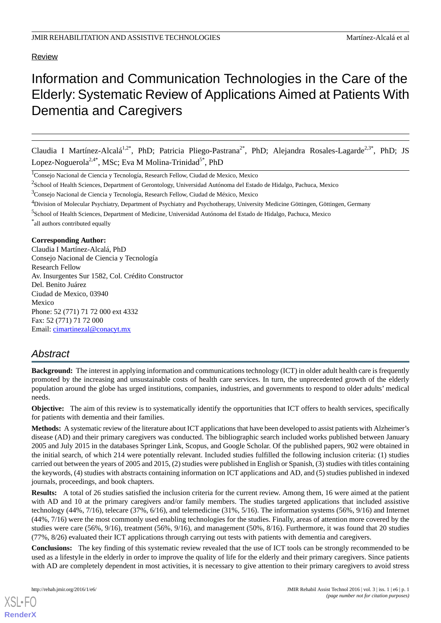Review

# Information and Communication Technologies in the Care of the Elderly:Systematic Review of Applications Aimed at Patients With Dementia and Caregivers

Claudia I Martínez-Alcalá<sup>1,2\*</sup>, PhD; Patricia Pliego-Pastrana<sup>2\*</sup>, PhD; Alejandra Rosales-Lagarde<sup>2,3\*</sup>, PhD; JS Lopez-Noguerola<sup>2,4\*</sup>, MSc; Eva M Molina-Trinidad<sup>5\*</sup>, PhD

<sup>1</sup>Consejo Nacional de Ciencia y Tecnología, Research Fellow, Ciudad de Mexico, Mexico

<sup>2</sup>School of Health Sciences, Department of Gerontology, Universidad Autónoma del Estado de Hidalgo, Pachuca, Mexico

<sup>3</sup>Consejo Nacional de Ciencia y Tecnología, Research Fellow, Ciudad de México, Mexico

<sup>4</sup>Division of Molecular Psychiatry, Department of Psychiatry and Psychotherapy, University Medicine Göttingen, Göttingen, Germany

<sup>5</sup>School of Health Sciences, Department of Medicine, Universidad Autónoma del Estado de Hidalgo, Pachuca, Mexico

\* all authors contributed equally

## **Corresponding Author:**

Claudia I Martínez-Alcalá, PhD Consejo Nacional de Ciencia y Tecnología Research Fellow Av. Insurgentes Sur 1582, Col. Crédito Constructor Del. Benito Juárez Ciudad de Mexico, 03940 Mexico Phone: 52 (771) 71 72 000 ext 4332 Fax: 52 (771) 71 72 000 Email: [cimartinezal@conacyt.mx](mailto:cimartinezal@conacyt.mx)

## *Abstract*

**Background:** The interest in applying information and communications technology (ICT) in older adult health care is frequently promoted by the increasing and unsustainable costs of health care services. In turn, the unprecedented growth of the elderly population around the globe has urged institutions, companies, industries, and governments to respond to older adults' medical needs.

**Objective:** The aim of this review is to systematically identify the opportunities that ICT offers to health services, specifically for patients with dementia and their families.

**Methods:** A systematic review of the literature about ICT applications that have been developed to assist patients with Alzheimer's disease (AD) and their primary caregivers was conducted. The bibliographic search included works published between January 2005 and July 2015 in the databases Springer Link, Scopus, and Google Scholar. Of the published papers, 902 were obtained in the initial search, of which 214 were potentially relevant. Included studies fulfilled the following inclusion criteria: (1) studies carried out between the years of 2005 and 2015, (2) studies were published in English or Spanish, (3) studies with titles containing the keywords, (4) studies with abstracts containing information on ICT applications and AD, and (5) studies published in indexed journals, proceedings, and book chapters.

**Results:** A total of 26 studies satisfied the inclusion criteria for the current review. Among them, 16 were aimed at the patient with AD and 10 at the primary caregivers and/or family members. The studies targeted applications that included assistive technology (44%, 7/16), telecare (37%, 6/16), and telemedicine (31%, 5/16). The information systems (56%, 9/16) and Internet (44%, 7/16) were the most commonly used enabling technologies for the studies. Finally, areas of attention more covered by the studies were care (56%, 9/16), treatment (56%, 9/16), and management (50%, 8/16). Furthermore, it was found that 20 studies (77%, 8/26) evaluated their ICT applications through carrying out tests with patients with dementia and caregivers.

**Conclusions:** The key finding of this systematic review revealed that the use of ICT tools can be strongly recommended to be used as a lifestyle in the elderly in order to improve the quality of life for the elderly and their primary caregivers. Since patients with AD are completely dependent in most activities, it is necessary to give attention to their primary caregivers to avoid stress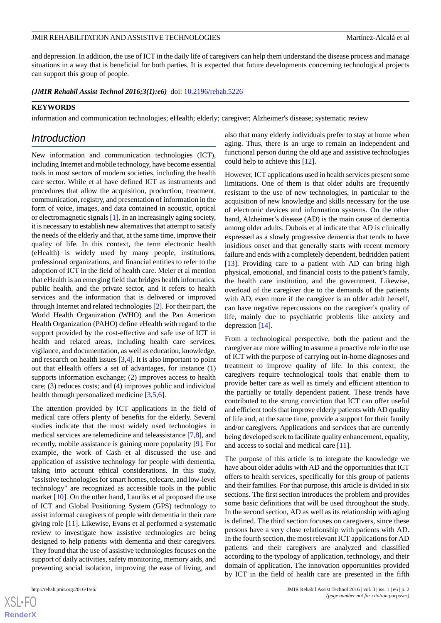and depression. In addition, the use of ICT in the daily life of caregivers can help them understand the disease process and manage situations in a way that is beneficial for both parties. It is expected that future developments concerning technological projects can support this group of people.

(JMIR Rehabil Assist Technol 2016;3(1):e6) doi: [10.2196/rehab.5226](http://dx.doi.org/10.2196/rehab.5226)

### **KEYWORDS**

information and communication technologies; eHealth; elderly; caregiver; Alzheimer's disease; systematic review

## *Introduction*

New information and communication technologies (ICT), including Internet and mobile technology, have become essential tools in most sectors of modern societies, including the health care sector. While et al have defined ICT as instruments and procedures that allow the acquisition, production, treatment, communication, registry, and presentation of information in the form of voice, images, and data contained in acoustic, optical or electromagnetic signals [[1\]](#page-9-0). In an increasingly aging society, it is necessary to establish new alternatives that attempt to satisfy the needs of the elderly and that, at the same time, improve their quality of life. In this context, the term electronic health (eHealth) is widely used by many people, institutions, professional organizations, and financial entities to refer to the adoption of ICT in the field of health care. Meier et al mention that eHealth is an emerging field that bridges health informatics, public health, and the private sector, and it refers to health services and the information that is delivered or improved through Internet and related technologies [\[2](#page-9-1)]. For their part, the World Health Organization (WHO) and the Pan American Health Organization (PAHO) define eHealth with regard to the support provided by the cost-effective and safe use of ICT in health and related areas, including health care services, vigilance, and documentation, as well as education, knowledge, and research on health issues  $[3,4]$  $[3,4]$  $[3,4]$ . It is also important to point out that eHealth offers a set of advantages, for instance (1) supports information exchange; (2) improves access to health care; (3) reduces costs; and (4) improves public and individual health through personalized medicine [[3,](#page-9-2)[5](#page-9-4),[6\]](#page-9-5).

The attention provided by ICT applications in the field of medical care offers plenty of benefits for the elderly. Several studies indicate that the most widely used technologies in medical services are telemedicine and teleassistance [\[7](#page-9-6),[8\]](#page-9-7), and recently, mobile assistance is gaining more popularity [\[9](#page-9-8)]. For example, the work of Cash et al discussed the use and application of assistive technology for people with dementia, taking into account ethical considerations. In this study, "assistive technologies for smart homes, telecare, and low-level technology" are recognized as accessible tools in the public market [\[10](#page-10-0)]. On the other hand, Lauriks et al proposed the use of ICT and Global Positioning System (GPS) technology to assist informal caregivers of people with dementia in their care giving role [[11\]](#page-10-1). Likewise, Evans et al performed a systematic review to investigate how assistive technologies are being designed to help patients with dementia and their caregivers. They found that the use of assistive technologies focuses on the support of daily activities, safety monitoring, memory aids, and preventing social isolation, improving the ease of living, and

 $XS$  $\cdot$ FC **[RenderX](http://www.renderx.com/)** also that many elderly individuals prefer to stay at home when aging. Thus, there is an urge to remain an independent and functional person during the old age and assistive technologies could help to achieve this [\[12](#page-10-2)].

However, ICT applications used in health services present some limitations. One of them is that older adults are frequently resistant to the use of new technologies, in particular to the acquisition of new knowledge and skills necessary for the use of electronic devices and information systems. On the other hand, Alzheimer's disease (AD) is the main cause of dementia among older adults. Dubois et al indicate that AD is clinically expressed as a slowly progressive dementia that tends to have insidious onset and that generally starts with recent memory failure and ends with a completely dependent, bedridden patient [[13\]](#page-10-3). Providing care to a patient with AD can bring high physical, emotional, and financial costs to the patient's family, the health care institution, and the government. Likewise, overload of the caregiver due to the demands of the patients with AD, even more if the caregiver is an older adult herself, can have negative repercussions on the caregiver's quality of life, mainly due to psychiatric problems like anxiety and depression [\[14](#page-10-4)].

From a technological perspective, both the patient and the caregiver are more willing to assume a proactive role in the use of ICT with the purpose of carrying out in-home diagnoses and treatment to improve quality of life. In this context, the caregivers require technological tools that enable them to provide better care as well as timely and efficient attention to the partially or totally dependent patient. These trends have contributed to the strong conviction that ICT can offer useful and efficient tools that improve elderly patients with AD quality of life and, at the same time, provide a support for their family and/or caregivers. Applications and services that are currently being developed seek to facilitate quality enhancement, equality, and access to social and medical care [\[11](#page-10-1)].

The purpose of this article is to integrate the knowledge we have about older adults with AD and the opportunities that ICT offers to health services, specifically for this group of patients and their families. For that purpose, this article is divided in six sections. The first section introduces the problem and provides some basic definitions that will be used throughout the study. In the second section, AD as well as its relationship with aging is defined. The third section focuses on caregivers, since these persons have a very close relationship with patients with AD. In the fourth section, the most relevant ICT applications for AD patients and their caregivers are analyzed and classified according to the typology of application, technology, and their domain of application. The innovation opportunities provided by ICT in the field of health care are presented in the fifth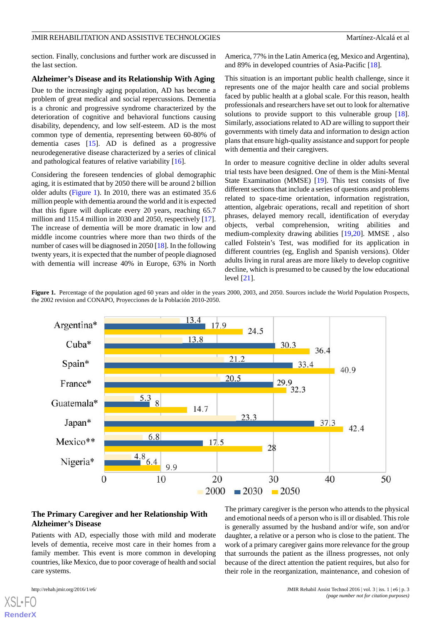section. Finally, conclusions and further work are discussed in the last section.

#### **Alzheimer's Disease and its Relationship With Aging**

Due to the increasingly aging population, AD has become a problem of great medical and social repercussions. Dementia is a chronic and progressive syndrome characterized by the deterioration of cognitive and behavioral functions causing disability, dependency, and low self-esteem. AD is the most common type of dementia, representing between 60-80% of dementia cases [\[15](#page-10-5)]. AD is defined as a progressive neurodegenerative disease characterized by a series of clinical and pathological features of relative variability [\[16](#page-10-6)].

Considering the foreseen tendencies of global demographic aging, it is estimated that by 2050 there will be around 2 billion older adults ([Figure 1](#page-2-0)). In 2010, there was an estimated 35.6 million people with dementia around the world and it is expected that this figure will duplicate every 20 years, reaching 65.7 million and 115.4 million in 2030 and 2050, respectively [[17\]](#page-10-7). The increase of dementia will be more dramatic in low and middle income countries where more than two thirds of the number of cases will be diagnosed in 2050 [\[18\]](#page-10-8). In the following twenty years, it is expected that the number of people diagnosed with dementia will increase 40% in Europe, 63% in North

America, 77% in the Latin America (eg, Mexico and Argentina), and 89% in developed countries of Asia-Pacific [[18\]](#page-10-8).

This situation is an important public health challenge, since it represents one of the major health care and social problems faced by public health at a global scale. For this reason, health professionals and researchers have set out to look for alternative solutions to provide support to this vulnerable group [[18\]](#page-10-8). Similarly, associations related to AD are willing to support their governments with timely data and information to design action plans that ensure high-quality assistance and support for people with dementia and their caregivers.

In order to measure cognitive decline in older adults several trial tests have been designed. One of them is the Mini-Mental State Examination (MMSE) [[19\]](#page-10-9). This test consists of five different sections that include a series of questions and problems related to space-time orientation, information registration, attention, algebraic operations, recall and repetition of short phrases, delayed memory recall, identification of everyday objects, verbal comprehension, writing abilities and medium-complexity drawing abilities [\[19](#page-10-9),[20\]](#page-10-10). MMSE *,* also called Folstein's Test, was modified for its application in different countries (eg, English and Spanish versions). Older adults living in rural areas are more likely to develop cognitive decline, which is presumed to be caused by the low educational level [\[21](#page-10-11)].

<span id="page-2-0"></span>**Figure 1.** Percentage of the population aged 60 years and older in the years 2000, 2003, and 2050. Sources include the World Population Prospects, the 2002 revision and CONAPO, Proyecciones de la Población 2010-2050.



## **The Primary Caregiver and her Relationship With Alzheimer's Disease**

Patients with AD, especially those with mild and moderate levels of dementia, receive most care in their homes from a family member. This event is more common in developing countries, like Mexico, due to poor coverage of health and social care systems.

The primary caregiver is the person who attends to the physical and emotional needs of a person who is ill or disabled. This role is generally assumed by the husband and/or wife, son and/or daughter, a relative or a person who is close to the patient. The work of a primary caregiver gains more relevance for the group that surrounds the patient as the illness progresses, not only because of the direct attention the patient requires, but also for their role in the reorganization, maintenance, and cohesion of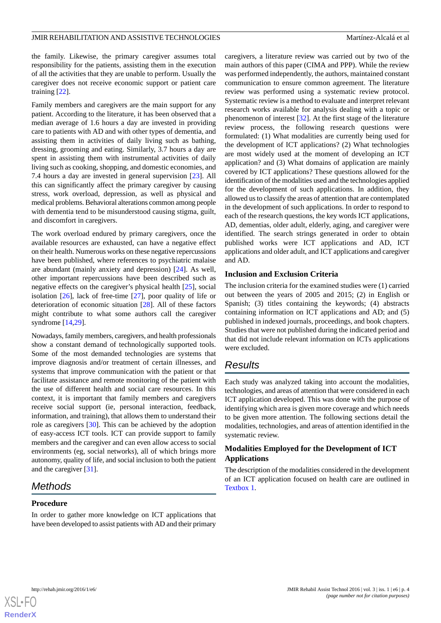the family. Likewise, the primary caregiver assumes total responsibility for the patients, assisting them in the execution of all the activities that they are unable to perform. Usually the caregiver does not receive economic support or patient care training [[22\]](#page-10-12).

Family members and caregivers are the main support for any patient. According to the literature, it has been observed that a median average of 1.6 hours a day are invested in providing care to patients with AD and with other types of dementia, and assisting them in activities of daily living such as bathing, dressing, grooming and eating. Similarly, 3.7 hours a day are spent in assisting them with instrumental activities of daily living such as cooking, shopping, and domestic economies, and 7.4 hours a day are invested in general supervision [[23\]](#page-10-13). All this can significantly affect the primary caregiver by causing stress, work overload, depression, as well as physical and medical problems. Behavioral alterations common among people with dementia tend to be misunderstood causing stigma, guilt, and discomfort in caregivers.

The work overload endured by primary caregivers, once the available resources are exhausted, can have a negative effect on their health. Numerous works on these negative repercussions have been published, where references to psychiatric malaise are abundant (mainly anxiety and depression) [[24\]](#page-10-14). As well, other important repercussions have been described such as negative effects on the caregiver's physical health [[25\]](#page-10-15), social isolation [\[26](#page-10-16)], lack of free-time [\[27](#page-10-17)], poor quality of life or deterioration of economic situation [[28\]](#page-10-18). All of these factors might contribute to what some authors call the caregiver syndrome [[14](#page-10-4)[,29](#page-10-19)].

Nowadays, family members, caregivers, and health professionals show a constant demand of technologically supported tools. Some of the most demanded technologies are systems that improve diagnosis and/or treatment of certain illnesses, and systems that improve communication with the patient or that facilitate assistance and remote monitoring of the patient with the use of different health and social care resources. In this context, it is important that family members and caregivers receive social support (ie, personal interaction, feedback, information, and training), that allows them to understand their role as caregivers [[30\]](#page-10-20). This can be achieved by the adoption of easy-access ICT tools. ICT can provide support to family members and the caregiver and can even allow access to social environments (eg, social networks), all of which brings more autonomy, quality of life, and social inclusion to both the patient and the caregiver [[31\]](#page-10-21).

## *Methods*

## **Procedure**

In order to gather more knowledge on ICT applications that have been developed to assist patients with AD and their primary

caregivers, a literature review was carried out by two of the main authors of this paper (CIMA and PPP). While the review was performed independently, the authors, maintained constant communication to ensure common agreement. The literature review was performed using a systematic review protocol. Systematic review is a method to evaluate and interpret relevant research works available for analysis dealing with a topic or phenomenon of interest [[32\]](#page-11-0). At the first stage of the literature review process, the following research questions were formulated: (1) What modalities are currently being used for the development of ICT applications? (2) What technologies are most widely used at the moment of developing an ICT application? and (3) What domains of application are mainly covered by ICT applications? These questions allowed for the identification of the modalities used and the technologies applied for the development of such applications. In addition, they allowed us to classify the areas of attention that are contemplated in the development of such applications. In order to respond to each of the research questions, the key words ICT applications, AD, dementias, older adult, elderly, aging, and caregiver were identified. The search strings generated in order to obtain published works were ICT applications and AD, ICT applications and older adult, and ICT applications and caregiver and AD.

## **Inclusion and Exclusion Criteria**

The inclusion criteria for the examined studies were (1) carried out between the years of 2005 and 2015; (2) in English or Spanish; (3) titles containing the keywords; (4) abstracts containing information on ICT applications and AD; and (5) published in indexed journals, proceedings, and book chapters. Studies that were not published during the indicated period and that did not include relevant information on ICTs applications were excluded.

## *Results*

Each study was analyzed taking into account the modalities, technologies, and areas of attention that were considered in each ICT application developed. This was done with the purpose of identifying which area is given more coverage and which needs to be given more attention. The following sections detail the modalities, technologies, and areas of attention identified in the systematic review.

## **Modalities Employed for the Development of ICT Applications**

The description of the modalities considered in the development of an ICT application focused on health care are outlined in [Textbox 1.](#page-4-0)

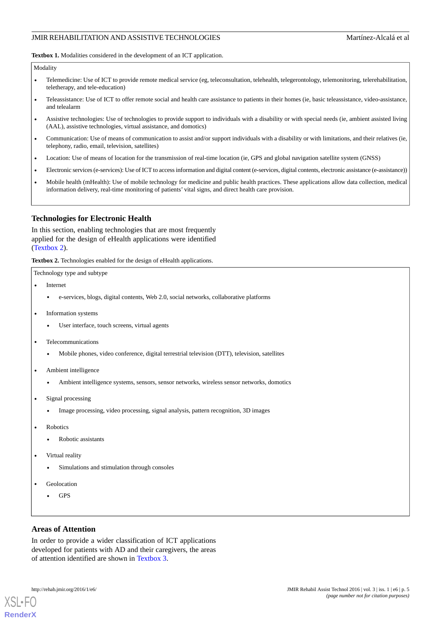<span id="page-4-0"></span>**Textbox 1.** Modalities considered in the development of an ICT application.

#### Modality

- Telemedicine: Use of ICT to provide remote medical service (eg, teleconsultation, telehealth, telegerontology, telemonitoring, telerehabilitation, teletherapy, and tele-education)
- Teleassistance: Use of ICT to offer remote social and health care assistance to patients in their homes (ie, basic teleassistance, video-assistance, and telealarm
- Assistive technologies: Use of technologies to provide support to individuals with a disability or with special needs (ie, ambient assisted living (AAL), assistive technologies, virtual assistance, and domotics)
- Communication: Use of means of communication to assist and/or support individuals with a disability or with limitations, and their relatives (ie, telephony, radio, email, television, satellites)
- Location: Use of means of location for the transmission of real-time location (ie, GPS and global navigation satellite system (GNSS)
- Electronic services (e-services): Use of ICT to access information and digital content (e-services, digital contents, electronic assistance (e-assistance))
- Mobile health (mHealth): Use of mobile technology for medicine and public health practices. These applications allow data collection, medical information delivery, real-time monitoring of patients' vital signs, and direct health care provision.

#### **Technologies for Electronic Health**

<span id="page-4-1"></span>In this section, enabling technologies that are most frequently applied for the design of eHealth applications were identified ([Textbox 2\)](#page-4-1).

**Textbox 2.** Technologies enabled for the design of eHealth applications.

Technology type and subtype

- **Internet** 
	- e-services, blogs, digital contents, Web 2.0, social networks, collaborative platforms
- Information systems
	- User interface, touch screens, virtual agents
- Telecommunications
	- Mobile phones, video conference, digital terrestrial television (DTT), television, satellites
- Ambient intelligence
	- Ambient intelligence systems, sensors, sensor networks, wireless sensor networks, domotics
- Signal processing
	- Image processing, video processing, signal analysis, pattern recognition, 3D images
- **Robotics** 
	- Robotic assistants
- Virtual reality
	- Simulations and stimulation through consoles
- **Geolocation** 
	- GPS

## **Areas of Attention**

In order to provide a wider classification of ICT applications developed for patients with AD and their caregivers, the areas of attention identified are shown in [Textbox 3.](#page-5-0)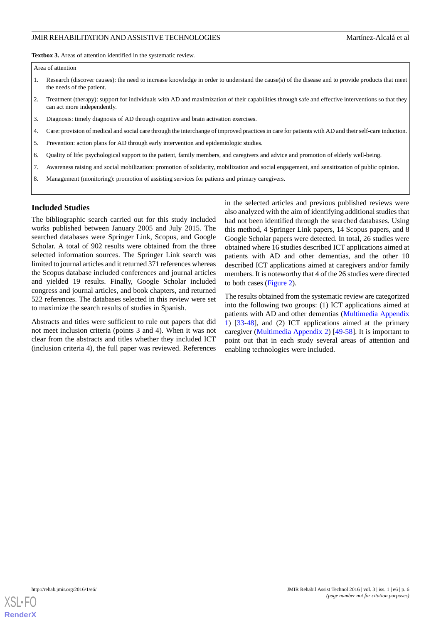<span id="page-5-0"></span>**Textbox 3.** Areas of attention identified in the systematic review.

#### Area of attention

- 1. Research (discover causes): the need to increase knowledge in order to understand the cause(s) of the disease and to provide products that meet the needs of the patient.
- 2. Treatment (therapy): support for individuals with AD and maximization of their capabilities through safe and effective interventions so that they can act more independently.
- 3. Diagnosis: timely diagnosis of AD through cognitive and brain activation exercises.
- 4. Care: provision of medical and social care through the interchange of improved practices in care for patients with AD and their self-care induction.
- 5. Prevention: action plans for AD through early intervention and epidemiologic studies.
- 6. Quality of life: psychological support to the patient, family members, and caregivers and advice and promotion of elderly well-being.
- 7. Awareness raising and social mobilization: promotion of solidarity, mobilization and social engagement, and sensitization of public opinion.
- 8. Management (monitoring): promotion of assisting services for patients and primary caregivers.

## **Included Studies**

The bibliographic search carried out for this study included works published between January 2005 and July 2015. The searched databases were Springer Link, Scopus, and Google Scholar. A total of 902 results were obtained from the three selected information sources. The Springer Link search was limited to journal articles and it returned 371 references whereas the Scopus database included conferences and journal articles and yielded 19 results. Finally, Google Scholar included congress and journal articles, and book chapters, and returned 522 references. The databases selected in this review were set to maximize the search results of studies in Spanish.

Abstracts and titles were sufficient to rule out papers that did not meet inclusion criteria (points 3 and 4). When it was not clear from the abstracts and titles whether they included ICT (inclusion criteria 4), the full paper was reviewed. References

in the selected articles and previous published reviews were also analyzed with the aim of identifying additional studies that had not been identified through the searched databases. Using this method, 4 Springer Link papers, 14 Scopus papers, and 8 Google Scholar papers were detected. In total, 26 studies were obtained where 16 studies described ICT applications aimed at patients with AD and other dementias, and the other 10 described ICT applications aimed at caregivers and/or family members. It is noteworthy that 4 of the 26 studies were directed to both cases [\(Figure 2\)](#page-6-0).

The results obtained from the systematic review are categorized into the following two groups: (1) ICT applications aimed at patients with AD and other dementias ([Multimedia Appendix](#page-9-9) [1\)](#page-9-9) [[33](#page-11-1)[-48](#page-11-2)], and (2) ICT applications aimed at the primary caregiver [\(Multimedia Appendix 2](#page-9-10)) [[49-](#page-11-3)[58](#page-12-0)]. It is important to point out that in each study several areas of attention and enabling technologies were included.

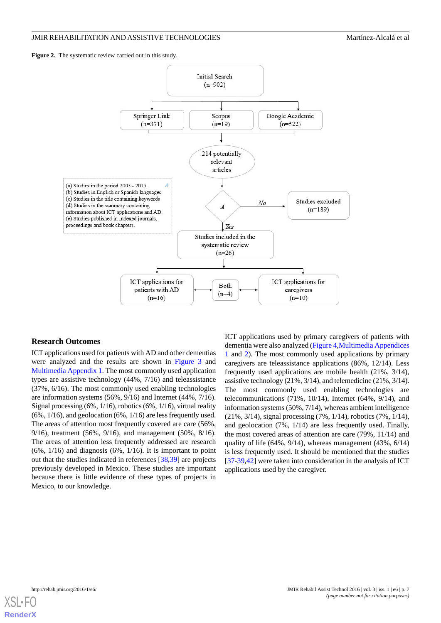<span id="page-6-0"></span>Figure 2. The systematic review carried out in this study.



#### **Research Outcomes**

ICT applications used for patients with AD and other dementias were analyzed and the results are shown in [Figure 3](#page-7-0) and [Multimedia Appendix 1.](#page-9-9) The most commonly used application types are assistive technology (44%, 7/16) and teleassistance (37%, 6/16). The most commonly used enabling technologies are information systems (56%, 9/16) and Internet (44%, 7/16). Signal processing (6%, 1/16), robotics (6%, 1/16), virtual reality (6%, 1/16), and geolocation (6%, 1/16) are less frequently used. The areas of attention most frequently covered are care (56%, 9/16), treatment (56%, 9/16), and management (50%, 8/16). The areas of attention less frequently addressed are research  $(6\%, 1/16)$  and diagnosis  $(6\%, 1/16)$ . It is important to point out that the studies indicated in references [[38](#page-11-4)[,39](#page-11-5)] are projects previously developed in Mexico. These studies are important because there is little evidence of these types of projects in Mexico, to our knowledge.

ICT applications used by primary caregivers of patients with dementia were also analyzed [\(Figure 4](#page-7-1)[,Multimedia Appendices](#page-9-9) [1](#page-9-9) and [2](#page-9-10)). The most commonly used applications by primary caregivers are teleassistance applications (86%, 12/14). Less frequently used applications are mobile health (21%, 3/14), assistive technology (21%, 3/14), and telemedicine (21%, 3/14). The most commonly used enabling technologies are telecommunications (71%, 10/14), Internet (64%, 9/14), and information systems (50%, 7/14), whereas ambient intelligence (21%, 3/14), signal processing (7%, 1/14), robotics (7%, 1/14), and geolocation (7%, 1/14) are less frequently used. Finally, the most covered areas of attention are care (79%, 11/14) and quality of life (64%, 9/14), whereas management (43%, 6/14) is less frequently used. It should be mentioned that the studies [[37](#page-11-6)[-39](#page-11-5),[42\]](#page-11-7) were taken into consideration in the analysis of ICT applications used by the caregiver.

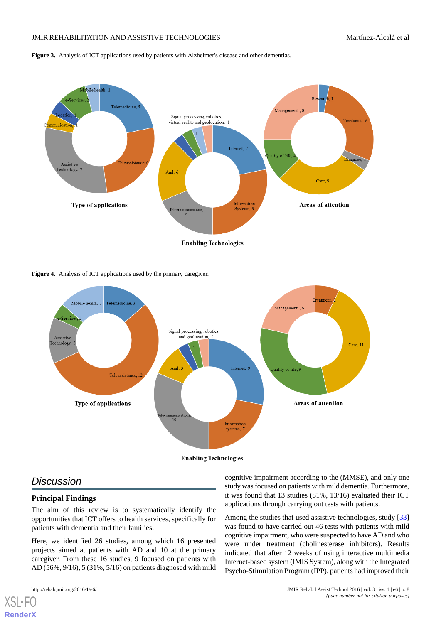<span id="page-7-0"></span>**Figure 3.** Analysis of ICT applications used by patients with Alzheimer's disease and other dementias.



<span id="page-7-1"></span>**Figure 4.** Analysis of ICT applications used by the primary caregiver.



## *Discussion*

## **Principal Findings**

The aim of this review is to systematically identify the opportunities that ICT offers to health services, specifically for patients with dementia and their families.

Here, we identified 26 studies, among which 16 presented projects aimed at patients with AD and 10 at the primary caregiver. From these 16 studies, 9 focused on patients with AD (56%, 9/16), 5 (31%, 5/16) on patients diagnosed with mild

[XSL](http://www.w3.org/Style/XSL)•FO **[RenderX](http://www.renderx.com/)**

cognitive impairment according to the (MMSE), and only one study was focused on patients with mild dementia. Furthermore, it was found that 13 studies (81%, 13/16) evaluated their ICT applications through carrying out tests with patients.

Among the studies that used assistive technologies, study [\[33](#page-11-1)] was found to have carried out 46 tests with patients with mild cognitive impairment, who were suspected to have AD and who were under treatment (cholinesterase inhibitors). Results indicated that after 12 weeks of using interactive multimedia Internet-based system (IMIS System), along with the Integrated Psycho-Stimulation Program (IPP), patients had improved their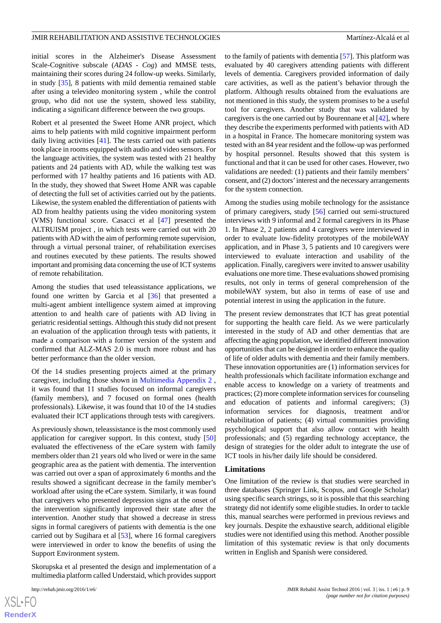initial scores in the Alzheimer's Disease Assessment Scale-Cognitive subscale (*ADAS* - *Cog*) and MMSE tests, maintaining their scores during 24 follow-up weeks. Similarly, in study [\[35](#page-11-8)], 8 patients with mild dementia remained stable after using a televideo monitoring system *,* while the control group, who did not use the system, showed less stability, indicating a significant difference between the two groups.

Robert et al presented the Sweet Home ANR project, which aims to help patients with mild cognitive impairment perform daily living activities [\[41](#page-11-9)]. The tests carried out with patients took place in rooms equipped with audio and video sensors. For the language activities, the system was tested with 21 healthy patients and 24 patients with AD, while the walking test was performed with 17 healthy patients and 16 patients with AD. In the study, they showed that Sweet Home ANR was capable of detecting the full set of activities carried out by the patients. Likewise, the system enabled the differentiation of patients with AD from healthy patients using the video monitoring system (VMS) functional score. Casacci et al [[47\]](#page-11-10) presented the ALTRUISM project *,* in which tests were carried out with 20 patients with AD with the aim of performing remote supervision, through a virtual personal trainer, of rehabilitation exercises and routines executed by these patients. The results showed important and promising data concerning the use of ICT systems of remote rehabilitation.

Among the studies that used teleassistance applications, we found one written by Garcia et al [\[36](#page-11-11)] that presented a multi-agent ambient intelligence system aimed at improving attention to and health care of patients with AD living in geriatric residential settings. Although this study did not present an evaluation of the application through tests with patients, it made a comparison with a former version of the system and confirmed that ALZ-MAS 2.0 is much more robust and has better performance than the older version.

Of the 14 studies presenting projects aimed at the primary caregiver, including those shown in [Multimedia Appendix 2](#page-9-10) , it was found that 11 studies focused on informal caregivers (family members), and 7 focused on formal ones (health professionals). Likewise, it was found that 10 of the 14 studies evaluated their ICT applications through tests with caregivers.

As previously shown, teleassistance is the most commonly used application for caregiver support. In this context, study [\[50](#page-11-12)] evaluated the effectiveness of the eCare system with family members older than 21 years old who lived or were in the same geographic area as the patient with dementia. The intervention was carried out over a span of approximately 6 months and the results showed a significant decrease in the family member's workload after using the eCare system. Similarly, it was found that caregivers who presented depression signs at the onset of the intervention significantly improved their state after the intervention. Another study that showed a decrease in stress signs in formal caregivers of patients with dementia is the one carried out by Sugihara et al [\[53](#page-11-13)], where 16 formal caregivers were interviewed in order to know the benefits of using the Support Environment system.

Skorupska et al presented the design and implementation of a multimedia platform called Understaid, which provides support to the family of patients with dementia [\[57](#page-12-1)]. This platform was evaluated by 40 caregivers attending patients with different levels of dementia. Caregivers provided information of daily care activities, as well as the patient's behavior through the platform. Although results obtained from the evaluations are not mentioned in this study, the system promises to be a useful tool for caregivers. Another study that was validated by caregivers is the one carried out by Bourennane et al [\[42\]](#page-11-7), where they describe the experiments performed with patients with AD in a hospital in France. The homecare monitoring system was tested with an 84 year resident and the follow-up was performed by hospital personnel. Results showed that this system is functional and that it can be used for other cases. However, two validations are needed: (1) patients and their family members' consent, and (2) doctors'interest and the necessary arrangements for the system connection.

Among the studies using mobile technology for the assistance of primary caregivers, study [[56\]](#page-12-2) carried out semi-structured interviews with 9 informal and 2 formal caregivers in its Phase 1. In Phase 2, 2 patients and 4 caregivers were interviewed in order to evaluate low-fidelity prototypes of the mobileWAY application, and in Phase 3, 5 patients and 10 caregivers were interviewed to evaluate interaction and usability of the application. Finally, caregivers were invited to answer usability evaluations one more time. These evaluations showed promising results, not only in terms of general comprehension of the mobileWAY system, but also in terms of ease of use and potential interest in using the application in the future.

The present review demonstrates that ICT has great potential for supporting the health care field. As we were particularly interested in the study of AD and other dementias that are affecting the aging population, we identified different innovation opportunities that can be designed in order to enhance the quality of life of older adults with dementia and their family members. These innovation opportunities are (1) information services for health professionals which facilitate information exchange and enable access to knowledge on a variety of treatments and practices; (2) more complete information services for counseling and education of patients and informal caregivers; (3) information services for diagnosis, treatment and/or rehabilitation of patients; (4) virtual communities providing psychological support that also allow contact with health professionals; and (5) regarding technology acceptance, the design of strategies for the older adult to integrate the use of ICT tools in his/her daily life should be considered.

#### **Limitations**

One limitation of the review is that studies were searched in three databases (Springer Link, Scopus, and Google Scholar) using specific search strings, so it is possible that this searching strategy did not identify some eligible studies. In order to tackle this, manual searches were performed in previous reviews and key journals. Despite the exhaustive search, additional eligible studies were not identified using this method. Another possible limitation of this systematic review is that only documents written in English and Spanish were considered.

```
XSL•FO
RenderX
```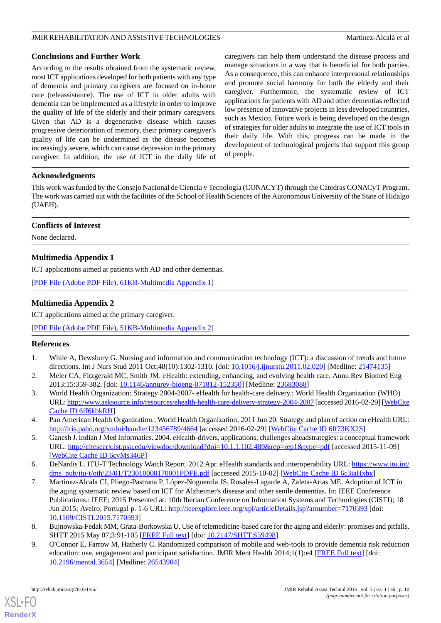## **Conclusions and Further Work**

According to the results obtained from the systematic review, most ICT applications developed for both patients with any type of dementia and primary caregivers are focused on in-home care (teleassistance). The use of ICT in older adults with dementia can be implemented as a lifestyle in order to improve the quality of life of the elderly and their primary caregivers. Given that AD is a degenerative disease which causes progressive deterioration of memory, their primary caregiver's quality of life can be undermined as the disease becomes increasingly severe, which can cause depression in the primary caregiver. In addition, the use of ICT in the daily life of caregivers can help them understand the disease process and manage situations in a way that is beneficial for both parties. As a consequence, this can enhance interpersonal relationships and promote social harmony for both the elderly and their caregiver. Furthermore, the systematic review of ICT applications for patients with AD and other dementias reflected low presence of innovative projects in less developed countries, such as Mexico. Future work is being developed on the design of strategies for older adults to integrate the use of ICT tools in their daily life. With this, progress can be made in the development of technological projects that support this group of people.

## **Acknowledgments**

This work was funded by the Consejo Nacional de Ciencia y Tecnología (CONACYT) through the Cátedras CONACyT Program. The work was carried out with the facilities of the School of Health Sciences of the Autonomous University of the State of Hidalgo (UAEH).

## **Conflicts of Interest**

<span id="page-9-9"></span>None declared.

## **Multimedia Appendix 1**

<span id="page-9-10"></span>ICT applications aimed at patients with AD and other dementias.

[[PDF File \(Adobe PDF File\), 61KB-Multimedia Appendix 1](https://jmir.org/api/download?alt_name=rehab_v3i1e6_app1.pdf&filename=57f33187a080bc481f8c23052c1adf0a.pdf)]

## **Multimedia Appendix 2**

ICT applications aimed at the primary caregiver.

<span id="page-9-0"></span>[[PDF File \(Adobe PDF File\), 51KB-Multimedia Appendix 2](https://jmir.org/api/download?alt_name=rehab_v3i1e6_app2.pdf&filename=810adf063d3c366f2b2016ec286e247d.pdf)]

## <span id="page-9-1"></span>**References**

- <span id="page-9-2"></span>1. While A, Dewsbury G. Nursing and information and communication technology (ICT): a discussion of trends and future directions. Int J Nurs Stud 2011 Oct;48(10):1302-1310. [doi: [10.1016/j.ijnurstu.2011.02.020](http://dx.doi.org/10.1016/j.ijnurstu.2011.02.020)] [Medline: [21474135](http://www.ncbi.nlm.nih.gov/entrez/query.fcgi?cmd=Retrieve&db=PubMed&list_uids=21474135&dopt=Abstract)]
- <span id="page-9-3"></span>2. Meier CA, Fitzgerald MC, Smith JM. eHealth: extending, enhancing, and evolving health care. Annu Rev Biomed Eng 2013;15:359-382. [doi: [10.1146/annurev-bioeng-071812-152350](http://dx.doi.org/10.1146/annurev-bioeng-071812-152350)] [Medline: [23683088](http://www.ncbi.nlm.nih.gov/entrez/query.fcgi?cmd=Retrieve&db=PubMed&list_uids=23683088&dopt=Abstract)]
- <span id="page-9-4"></span>3. World Health Organization: Strategy 2004-2007- eHealth for health-care delivery.: World Health Organization (WHO) URL:<http://www.asksource.info/resources/ehealth-health-care-delivery-strategy-2004-2007> [accessed 2016-02-29] [[WebCite](http://www.webcitation.org/

                                            6ff6kbkRH) [Cache ID 6ff6kbkRH](http://www.webcitation.org/

                                            6ff6kbkRH)]
- <span id="page-9-5"></span>4. Pan American Health Organization.: World Health Organization; 2011 Jun 20. Strategy and plan of action on eHealth URL: <http://iris.paho.org/xmlui/handle/123456789/4664> [accessed 2016-02-29] [\[WebCite Cache ID 6ff73KX2S](http://www.webcitation.org/

                                            6ff73KX2S)]
- <span id="page-9-6"></span>5. Ganesh J. Indian J Med Informatics. 2004. eHealth-drivers, applications, challenges aheadstrategies: a conceptual framework URL: <http://citeseerx.ist.psu.edu/viewdoc/download?doi=10.1.1.102.489&rep=rep1&type=pdf> [accessed 2015-11-09] [[WebCite Cache ID 6cvMs346P](http://www.webcitation.org/

                                            6cvMs346P)]
- 6. DeNardis L. ITU-T Technology Watch Report. 2012 Apr. eHealth standards and interoperability URL: [https://www.itu.int/](https://www.itu.int/dms_pub/itu-t/oth/23/01/T23010000170001PDFE.pdf) [dms\\_pub/itu-t/oth/23/01/T23010000170001PDFE.pdf](https://www.itu.int/dms_pub/itu-t/oth/23/01/T23010000170001PDFE.pdf) [accessed 2015-10-02] [\[WebCite Cache ID 6c3iaHxbx\]](http://www.webcitation.org/

                                            6c3iaHxbx)
- <span id="page-9-8"></span><span id="page-9-7"></span>7. Martinez-Alcala CI, Pliego-Pastrana P, López-Noguerola JS, Rosales-Lagarde A, Zaleta-Arias ME. Adoption of ICT in the aging systematic review based on ICT for Alzheimer's disease and other senile dementias. In: IEEE Conference Publications.: IEEE; 2015 Presented at: 10th Iberian Conference on Information Systems and Technologies (CISTI); 18 Jun 2015; Aveiro, Portugal p. 1-6 URL: <http://ieeexplore.ieee.org/xpl/articleDetails.jsp?arnumber=7170393> [doi: [10.1109/CISTI.2015.7170393\]](http://dx.doi.org/10.1109/CISTI.2015.7170393)
- 8. Bujnowska-Fedak MM, Grata-Borkowska U. Use of telemedicine-based care for the aging and elderly: promises and pitfalls. SHTT 2015 May 07;3:91-105 [\[FREE Full text](https://www.dovepress.com/use-of-telemedicine-based-care-for-the-aging-and-elderly-promises-and--peer-reviewed-article-SHTT)] [doi: [10.2147/SHTT.S59498](http://dx.doi.org/10.2147/SHTT.S59498)]
- 9. O'Connor E, Farrow M, Hatherly C. Randomized comparison of mobile and web-tools to provide dementia risk reduction education: use, engagement and participant satisfaction. JMIR Ment Health 2014;1(1):e4 [[FREE Full text](http://mental.jmir.org/2014/1/e4/)] [doi: [10.2196/mental.3654\]](http://dx.doi.org/10.2196/mental.3654) [Medline: [26543904](http://www.ncbi.nlm.nih.gov/entrez/query.fcgi?cmd=Retrieve&db=PubMed&list_uids=26543904&dopt=Abstract)]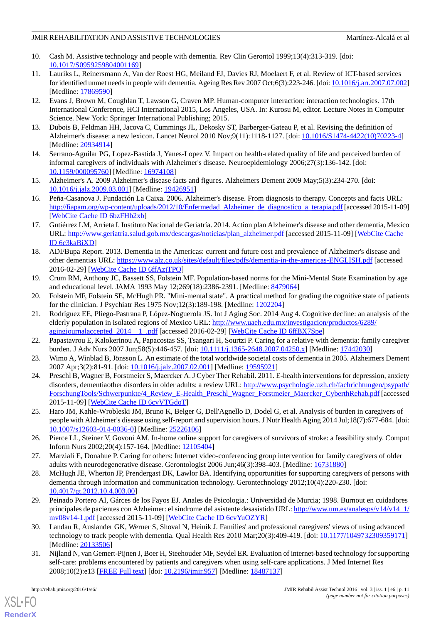- <span id="page-10-0"></span>10. Cash M. Assistive technology and people with dementia. Rev Clin Gerontol 1999;13(4):313-319. [doi: [10.1017/S0959259804001169](http://dx.doi.org/10.1017/S0959259804001169)]
- <span id="page-10-1"></span>11. Lauriks L, Reinersmann A, Van der Roest HG, Meiland FJ, Davies RJ, Moelaert F, et al. Review of ICT-based services for identified unmet needs in people with dementia. Ageing Res Rev 2007 Oct;6(3):223-246. [doi: [10.1016/j.arr.2007.07.002\]](http://dx.doi.org/10.1016/j.arr.2007.07.002) [Medline: [17869590](http://www.ncbi.nlm.nih.gov/entrez/query.fcgi?cmd=Retrieve&db=PubMed&list_uids=17869590&dopt=Abstract)]
- <span id="page-10-2"></span>12. Evans J, Brown M, Coughlan T, Lawson G, Craven MP. Human-computer interaction: interaction technologies. 17th International Conference, HCI International 2015, Los Angeles, USA. In: Kurosu M, editor. Lecture Notes in Computer Science. New York: Springer International Publishing; 2015.
- <span id="page-10-4"></span><span id="page-10-3"></span>13. Dubois B, Feldman HH, Jacova C, Cummings JL, Dekosky ST, Barberger-Gateau P, et al. Revising the definition of Alzheimer's disease: a new lexicon. Lancet Neurol 2010 Nov;9(11):1118-1127. [doi: [10.1016/S1474-4422\(10\)70223-4\]](http://dx.doi.org/10.1016/S1474-4422(10)70223-4) [Medline: [20934914](http://www.ncbi.nlm.nih.gov/entrez/query.fcgi?cmd=Retrieve&db=PubMed&list_uids=20934914&dopt=Abstract)]
- <span id="page-10-5"></span>14. Serrano-Aguilar PG, Lopez-Bastida J, Yanes-Lopez V. Impact on health-related quality of life and perceived burden of informal caregivers of individuals with Alzheimer's disease. Neuroepidemiology 2006;27(3):136-142. [doi: [10.1159/000095760\]](http://dx.doi.org/10.1159/000095760) [Medline: [16974108\]](http://www.ncbi.nlm.nih.gov/entrez/query.fcgi?cmd=Retrieve&db=PubMed&list_uids=16974108&dopt=Abstract)
- <span id="page-10-6"></span>15. Alzheimer's A. 2009 Alzheimer's disease facts and figures. Alzheimers Dement 2009 May;5(3):234-270. [doi: [10.1016/j.jalz.2009.03.001](http://dx.doi.org/10.1016/j.jalz.2009.03.001)] [Medline: [19426951\]](http://www.ncbi.nlm.nih.gov/entrez/query.fcgi?cmd=Retrieve&db=PubMed&list_uids=19426951&dopt=Abstract)
- <span id="page-10-7"></span>16. Peña-Casanova J. Fundación La Caixa. 2006. Alzheimer's disease. From diagnosis to therapy. Concepts and facts URL: [http://fiapam.org/wp-content/uploads/2012/10/Enfermedad\\_Alzheimer\\_de\\_diagnostico\\_a\\_terapia.pdf](http://fiapam.org/wp-content/uploads/2012/10/Enfermedad_Alzheimer_de_diagnostico_a_terapia.pdf) [accessed 2015-11-09] [[WebCite Cache ID 6bzFHb2xb\]](http://www.webcitation.org/

                                            6bzFHb2xb)
- <span id="page-10-8"></span>17. Gutiérrez LM, Arrieta I. Instituto Nacional de Geriatría. 2014. Action plan Alzheimer's disease and other dementia, Mexico URL: [http://www.geriatria.salud.gob.mx/descargas/noticias/plan\\_alzheimer.pdf](http://www.geriatria.salud.gob.mx/descargas/noticias/plan_alzheimer.pdf) [accessed 2015-11-09] [[WebCite Cache](http://www.webcitation.org/

                                            6c3kaBiXD) [ID 6c3kaBiXD](http://www.webcitation.org/

                                            6c3kaBiXD)]
- <span id="page-10-9"></span>18. ADI/Bupa Report. 2013. Dementia in the Americas: current and future cost and prevalence of Alzheimer's disease and other dementias URL: <https://www.alz.co.uk/sites/default/files/pdfs/dementia-in-the-americas-ENGLISH.pdf> [accessed 2016-02-29] [\[WebCite Cache ID 6ffAzjTPO\]](http://www.webcitation.org/

                                            6ffAzjTPO)
- <span id="page-10-11"></span><span id="page-10-10"></span>19. Crum RM, Anthony JC, Bassett SS, Folstein MF. Population-based norms for the Mini-Mental State Examination by age and educational level. JAMA 1993 May 12;269(18):2386-2391. [Medline: [8479064](http://www.ncbi.nlm.nih.gov/entrez/query.fcgi?cmd=Retrieve&db=PubMed&list_uids=8479064&dopt=Abstract)]
- 20. Folstein MF, Folstein SE, McHugh PR. "Mini-mental state". A practical method for grading the cognitive state of patients for the clinician. J Psychiatr Res 1975 Nov;12(3):189-198. [Medline: [1202204](http://www.ncbi.nlm.nih.gov/entrez/query.fcgi?cmd=Retrieve&db=PubMed&list_uids=1202204&dopt=Abstract)]
- <span id="page-10-13"></span><span id="page-10-12"></span>21. Rodríguez EE, Pliego-Pastrana P, López-Noguerola JS. Int J Aging Soc. 2014 Aug 4. Cognitive decline: an analysis of the elderly population in isolated regions of Mexico URL: [http://www.uaeh.edu.mx/investigacion/productos/6289/](http://www.uaeh.edu.mx/investigacion/productos/6289/agingjournalaccepted_2014__1_.pdf) agingjournalaccepted 2014 1.pdf [accessed 2016-02-29] [\[WebCite Cache ID 6ffBX7Spe](http://www.webcitation.org/

                                            6ffBX7Spe)]
- <span id="page-10-14"></span>22. Papastavrou E, Kalokerinou A, Papacostas SS, Tsangari H, Sourtzi P. Caring for a relative with dementia: family caregiver burden. J Adv Nurs 2007 Jun;58(5):446-457. [doi: [10.1111/j.1365-2648.2007.04250.x\]](http://dx.doi.org/10.1111/j.1365-2648.2007.04250.x) [Medline: [17442030\]](http://www.ncbi.nlm.nih.gov/entrez/query.fcgi?cmd=Retrieve&db=PubMed&list_uids=17442030&dopt=Abstract)
- 23. Wimo A, Winblad B, Jönsson L. An estimate of the total worldwide societal costs of dementia in 2005. Alzheimers Dement 2007 Apr;3(2):81-91. [doi: [10.1016/j.jalz.2007.02.001](http://dx.doi.org/10.1016/j.jalz.2007.02.001)] [Medline: [19595921\]](http://www.ncbi.nlm.nih.gov/entrez/query.fcgi?cmd=Retrieve&db=PubMed&list_uids=19595921&dopt=Abstract)
- <span id="page-10-15"></span>24. Preschl B, Wagner B, Forstmeier S, Maercker A. J Cyber Ther Rehabil. 2011. E-health interventions for depression, anxiety disorders, dementiaother disorders in older adults: a review URL: [http://www.psychologie.uzh.ch/fachrichtungen/psypath/](http://www.psychologie.uzh.ch/fachrichtungen/psypath/ForschungTools/Schwerpunkte/4_Review_E-Health_Preschl_Wagner_Forstmeier_Maercker_CyberthRehab.pdf) [ForschungTools/Schwerpunkte/4\\_Review\\_E-Health\\_Preschl\\_Wagner\\_Forstmeier\\_Maercker\\_CyberthRehab.pdf](http://www.psychologie.uzh.ch/fachrichtungen/psypath/ForschungTools/Schwerpunkte/4_Review_E-Health_Preschl_Wagner_Forstmeier_Maercker_CyberthRehab.pdf) [accessed 2015-11-09] [\[WebCite Cache ID 6cvVTGdoT](http://www.webcitation.org/

                                            6cvVTGdoT)]
- <span id="page-10-17"></span><span id="page-10-16"></span>25. Haro JM, Kahle-Wrobleski JM, Bruno K, Belger G, Dell'Agnello D, Dodel G, et al. Analysis of burden in caregivers of people with Alzheimer's disease using self-report and supervision hours. J Nutr Health Aging 2014 Jul;18(7):677-684. [doi: [10.1007/s12603-014-0036-0\]](http://dx.doi.org/10.1007/s12603-014-0036-0) [Medline: [25226106](http://www.ncbi.nlm.nih.gov/entrez/query.fcgi?cmd=Retrieve&db=PubMed&list_uids=25226106&dopt=Abstract)]
- <span id="page-10-18"></span>26. Pierce LL, Steiner V, Govoni AM. In-home online support for caregivers of survivors of stroke: a feasibility study. Comput Inform Nurs 2002;20(4):157-164. [Medline: [12105404](http://www.ncbi.nlm.nih.gov/entrez/query.fcgi?cmd=Retrieve&db=PubMed&list_uids=12105404&dopt=Abstract)]
- <span id="page-10-19"></span>27. Marziali E, Donahue P. Caring for others: Internet video-conferencing group intervention for family caregivers of older adults with neurodegenerative disease. Gerontologist 2006 Jun;46(3):398-403. [Medline: [16731880](http://www.ncbi.nlm.nih.gov/entrez/query.fcgi?cmd=Retrieve&db=PubMed&list_uids=16731880&dopt=Abstract)]
- <span id="page-10-20"></span>28. McHugh JE, Wherton JP, Prendergast DK, Lawlor BA. Identifying opportunities for supporting caregivers of persons with dementia through information and communication technology. Gerontechnology 2012;10(4):220-230. [doi: [10.4017/gt.2012.10.4.003.00](http://dx.doi.org/10.4017/gt.2012.10.4.003.00)]
- <span id="page-10-21"></span>29. Peinado Portero AI, Gárces de los Fayos EJ. Anales de Psicologia.: Universidad de Murcia; 1998. Burnout en cuidadores principales de pacientes con Alzheimer: el sindrome del asistente desasistido URL: [http://www.um.es/analesps/v14/v14\\_1/](http://www.um.es/analesps/v14/v14_1/mv08v14-1.pdf) [mv08v14-1.pdf](http://www.um.es/analesps/v14/v14_1/mv08v14-1.pdf) [accessed 2015-11-09] [[WebCite Cache ID 6cvYuOZYR](http://www.webcitation.org/

                                            6cvYuOZYR)]
- 30. Landau R, Auslander GK, Werner S, Shoval N, Heinik J. Families' and professional caregivers' views of using advanced technology to track people with dementia. Qual Health Res 2010 Mar;20(3):409-419. [doi: [10.1177/1049732309359171](http://dx.doi.org/10.1177/1049732309359171)] [Medline: [20133506](http://www.ncbi.nlm.nih.gov/entrez/query.fcgi?cmd=Retrieve&db=PubMed&list_uids=20133506&dopt=Abstract)]
- 31. Nijland N, van Gemert-Pijnen J, Boer H, Steehouder MF, Seydel ER. Evaluation of internet-based technology for supporting self-care: problems encountered by patients and caregivers when using self-care applications. J Med Internet Res 2008;10(2):e13 [\[FREE Full text](http://www.jmir.org/2008/2/e13/)] [doi: [10.2196/jmir.957](http://dx.doi.org/10.2196/jmir.957)] [Medline: [18487137](http://www.ncbi.nlm.nih.gov/entrez/query.fcgi?cmd=Retrieve&db=PubMed&list_uids=18487137&dopt=Abstract)]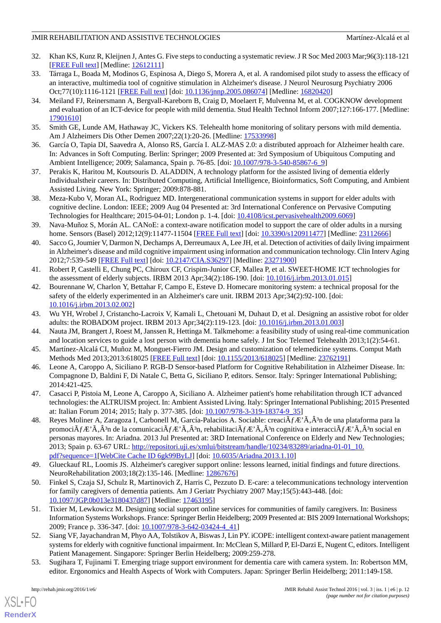- <span id="page-11-0"></span>32. Khan KS, Kunz R, Kleijnen J, Antes G. Five steps to conducting a systematic review. J R Soc Med 2003 Mar;96(3):118-121 [[FREE Full text](http://europepmc.org/abstract/MED/12612111)] [Medline: [12612111](http://www.ncbi.nlm.nih.gov/entrez/query.fcgi?cmd=Retrieve&db=PubMed&list_uids=12612111&dopt=Abstract)]
- <span id="page-11-1"></span>33. Tárraga L, Boada M, Modinos G, Espinosa A, Diego S, Morera A, et al. A randomised pilot study to assess the efficacy of an interactive, multimedia tool of cognitive stimulation in Alzheimer's disease. J Neurol Neurosurg Psychiatry 2006 Oct;77(10):1116-1121 [\[FREE Full text\]](http://europepmc.org/abstract/MED/16820420) [doi: [10.1136/jnnp.2005.086074](http://dx.doi.org/10.1136/jnnp.2005.086074)] [Medline: [16820420\]](http://www.ncbi.nlm.nih.gov/entrez/query.fcgi?cmd=Retrieve&db=PubMed&list_uids=16820420&dopt=Abstract)
- 34. Meiland FJ, Reinersmann A, Bergvall-Kareborn B, Craig D, Moelaert F, Mulvenna M, et al. COGKNOW development and evaluation of an ICT-device for people with mild dementia. Stud Health Technol Inform 2007;127:166-177. [Medline: [17901610](http://www.ncbi.nlm.nih.gov/entrez/query.fcgi?cmd=Retrieve&db=PubMed&list_uids=17901610&dopt=Abstract)]
- <span id="page-11-11"></span><span id="page-11-8"></span>35. Smith GE, Lunde AM, Hathaway JC, Vickers KS. Telehealth home monitoring of solitary persons with mild dementia. Am J Alzheimers Dis Other Demen 2007;22(1):20-26. [Medline: [17533998\]](http://www.ncbi.nlm.nih.gov/entrez/query.fcgi?cmd=Retrieve&db=PubMed&list_uids=17533998&dopt=Abstract)
- <span id="page-11-6"></span>36. García O, Tapia DI, Saavedra A, Alonso RS, García I. ALZ-MAS 2.0: a distributed approach for Alzheimer health care. In: Advances in Soft Computing. Berlin: Springer; 2009 Presented at: 3rd Symposium of Ubiquitous Computing and Ambient Intelligence; 2009; Salamanca, Spain p. 76-85. [doi: [10.1007/978-3-540-85867-6\\_9\]](http://dx.doi.org/10.1007/978-3-540-85867-6_9)
- <span id="page-11-4"></span>37. Perakis K, Haritou M, Koutsouris D. ALADDIN, A technology platform for the assisted living of dementia elderly Individualstheir careers. In: Distributed Computing, Artificial Intelligence, Bioinformatics, Soft Computing, and Ambient Assisted Living. New York: Springer; 2009:878-881.
- <span id="page-11-5"></span>38. Meza-Kubo V, Moran AL, Rodriguez MD. Intergenerational communication systems in support for elder adults with cognitive decline. London: IEEE; 2009 Aug 04 Presented at: 3rd International Conference on Pervasive Computing Technologies for Healthcare; 2015-04-01; London p. 1-4. [doi: [10.4108/icst.pervasivehealth2009.6069](http://dx.doi.org/10.4108/icst.pervasivehealth2009.6069)]
- 39. Nava-Muñoz S, Morán AL. CANoE: a context-aware notification model to support the care of older adults in a nursing home. Sensors (Basel) 2012;12(9):11477-11504 [\[FREE Full text\]](http://www.mdpi.com/resolver?pii=sensors-12-11477) [doi: [10.3390/s120911477\]](http://dx.doi.org/10.3390/s120911477) [Medline: [23112666\]](http://www.ncbi.nlm.nih.gov/entrez/query.fcgi?cmd=Retrieve&db=PubMed&list_uids=23112666&dopt=Abstract)
- <span id="page-11-9"></span>40. Sacco G, Joumier V, Darmon N, Dechamps A, Derreumaux A, Lee JH, et al. Detection of activities of daily living impairment in Alzheimer's disease and mild cognitive impairment using information and communication technology. Clin Interv Aging 2012;7:539-549 [\[FREE Full text\]](http://dx.doi.org/10.2147/CIA.S36297) [doi: [10.2147/CIA.S36297](http://dx.doi.org/10.2147/CIA.S36297)] [Medline: [23271900](http://www.ncbi.nlm.nih.gov/entrez/query.fcgi?cmd=Retrieve&db=PubMed&list_uids=23271900&dopt=Abstract)]
- <span id="page-11-7"></span>41. Robert P, Castelli E, Chung PC, Chiroux CF, Crispim-Junior CF, Mallea P, et al. SWEET-HOME ICT technologies for the assessment of elderly subjects. IRBM 2013 Apr;34(2):186-190. [doi: [10.1016/j.irbm.2013.01.015\]](http://dx.doi.org/10.1016/j.irbm.2013.01.015)
- 42. Bourennane W, Charlon Y, Bettahar F, Campo E, Esteve D. Homecare monitoring system: a technical proposal for the safety of the elderly experimented in an Alzheimer's care unit. IRBM 2013 Apr;34(2):92-100. [doi: [10.1016/j.irbm.2013.02.002](http://dx.doi.org/10.1016/j.irbm.2013.02.002)]
- 43. Wu YH, Wrobel J, Cristancho-Lacroix V, Kamali L, Chetouani M, Duhaut D, et al. Designing an assistive robot for older adults: the ROBADOM project. IRBM 2013 Apr;34(2):119-123. [doi: [10.1016/j.irbm.2013.01.003](http://dx.doi.org/10.1016/j.irbm.2013.01.003)]
- 44. Nauta JM, Brangert J, Roest M, Janssen R, Hettinga M. Talkmehome: a feasibility study of using real-time communication and location services to guide a lost person with dementia home safely. J Int Soc Telemed Telehealth 2013;1(2):54-61.
- <span id="page-11-10"></span>45. Martínez-Alcalá CI, Muñoz M, Monguet-Fierro JM. Design and customization of telemedicine systems. Comput Math Methods Med 2013;2013:618025 [\[FREE Full text\]](http://dx.doi.org/10.1155/2013/618025) [doi: [10.1155/2013/618025\]](http://dx.doi.org/10.1155/2013/618025) [Medline: [23762191\]](http://www.ncbi.nlm.nih.gov/entrez/query.fcgi?cmd=Retrieve&db=PubMed&list_uids=23762191&dopt=Abstract)
- <span id="page-11-2"></span>46. Leone A, Caroppo A, Siciliano P. RGB-D Sensor-based Platform for Cognitive Rehabilitation in Alzheimer Disease. In: Compagnone D, Baldini F, Di Natale C, Betta G, Siciliano P, editors. Sensor. Italy: Springer International Publishing; 2014:421-425.
- 47. Casacci P, Pistoia M, Leone A, Caroppo A, Siciliano A. Alzheimer patient's home rehabilitation through ICT advanced technologies: the ALTRUISM project. In: Ambient Assisted Living. Italy: Springer International Publishing; 2015 Presented at: Italian Forum 2014; 2015; Italy p. 377-385. [doi: [10.1007/978-3-319-18374-9\\_35\]](http://dx.doi.org/10.1007/978-3-319-18374-9_35)
- <span id="page-11-12"></span><span id="page-11-3"></span>48. Reyes Moliner A, Zaragoza I, Carbonell M, García-Palacios A. Sociable: creaci $\tilde{A}_f E' \tilde{A}$ ,  $\hat{A}^3$ n de una plataforma para la promoci $\tilde{A}_f E^A \tilde{A}$ ,  $\tilde{A}^3$ n de la comunicaci $\tilde{A}_f E^A \tilde{A}$ ,  $\tilde{A}^3$ n, rehabilitaci $\tilde{A}_f E^A \tilde{A}$ ,  $\tilde{A}^3$ n cognitiva e interacci $\tilde{A}_f E^A \tilde{A}$ ,  $\tilde{A}^3$ n social en personas mayores. In: Ariadna. 2013 Jul Presented at: 3RD International Conference on Elderly and New Technologies; 2013; Spain p. 63-67 URL: [http://repositori.uji.es/xmlui/bitstream/handle/10234/83289/ariadna-01-01\\_10.](http://repositori.uji.es/xmlui/bitstream/handle/10234/83289/ariadna-01-01_10.pdf?sequence=1) [pdf?sequence=1\[](http://repositori.uji.es/xmlui/bitstream/handle/10234/83289/ariadna-01-01_10.pdf?sequence=1)[WebCite Cache ID 6gk99ByLJ](http://www.webcitation.org/

                                            6gk99ByLJ)] [doi: [10.6035/Ariadna.2013.1.10\]](http://dx.doi.org/10.6035/Ariadna.2013.1.10)
- 49. Glueckauf RL, Loomis JS. Alzheimer's caregiver support online: lessons learned, initial findings and future directions. NeuroRehabilitation 2003;18(2):135-146. [Medline: [12867676](http://www.ncbi.nlm.nih.gov/entrez/query.fcgi?cmd=Retrieve&db=PubMed&list_uids=12867676&dopt=Abstract)]
- 50. Finkel S, Czaja SJ, Schulz R, Martinovich Z, Harris C, Pezzuto D. E-care: a telecommunications technology intervention for family caregivers of dementia patients. Am J Geriatr Psychiatry 2007 May;15(5):443-448. [doi: [10.1097/JGP.0b013e3180437d87](http://dx.doi.org/10.1097/JGP.0b013e3180437d87)] [Medline: [17463195](http://www.ncbi.nlm.nih.gov/entrez/query.fcgi?cmd=Retrieve&db=PubMed&list_uids=17463195&dopt=Abstract)]
- <span id="page-11-13"></span>51. Tixier M, Lewkowicz M. Designing social support online services for communities of family caregivers. In: Business Information Systems Workshops. France: Springer Berlin Heidelberg; 2009 Presented at: BIS 2009 International Workshops; 2009; France p. 336-347. [doi: [10.1007/978-3-642-03424-4\\_41\]](http://dx.doi.org/10.1007/978-3-642-03424-4_41)]
- 52. Siang VF, Jayachandran M, Phyo AA, Tolstikov A, Biswas J, Lin PY. iCOPE: intelligent context-aware patient management systems for elderly with cognitive functional impairment. In: McClean S, Millard P, El-Darzi E, Nugent C, editors. Intelligent Patient Management. Singapore: Springer Berlin Heidelberg; 2009:259-278.
- 53. Sugihara T, Fujinami T. Emerging triage support environment for dementia care with camera system. In: Robertson MM, editor. Ergonomics and Health Aspects of Work with Computers. Japan: Springer Berlin Heidelberg; 2011:149-158.